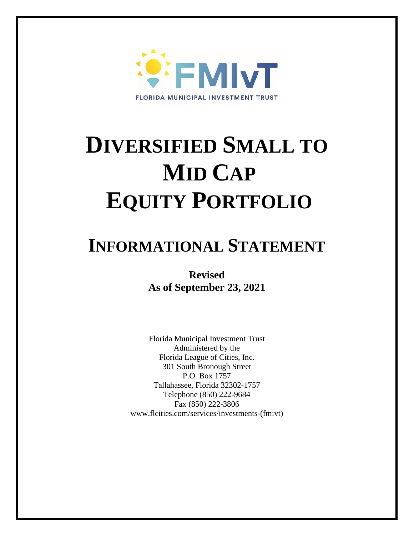

# **DIVERSIFIED SMALL TO MID CAP EQUITY PORTFOLIO**

## **INFORMATIONAL STATEMENT**

**Revised As of September 23, 2021**

Florida Municipal Investment Trust Administered by the Florida League of Cities, Inc. 301 South Bronough Street P.O. Box 1757 Tallahassee, Florida 32302-1757 Telephone (850) 222-9684 Fax (850) 222-3806 www.flcities.com/services/investments-(fmivt)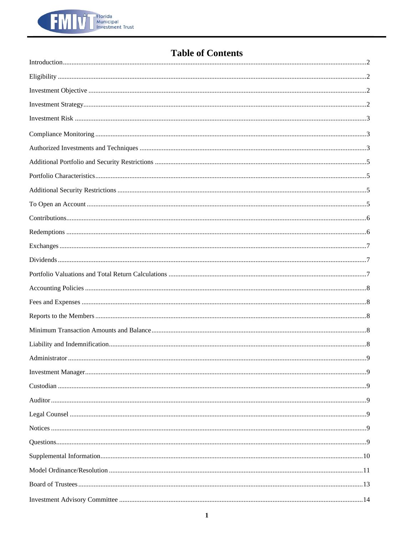

### **Table of Contents**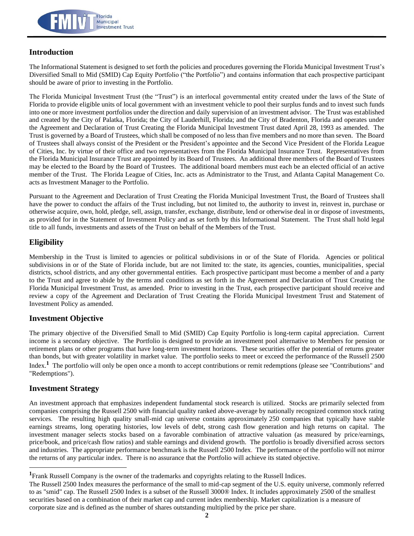

#### **Introduction**

The Informational Statement is designed to set forth the policies and procedures governing the Florida Municipal Investment Trust's Diversified Small to Mid (SMID) Cap Equity Portfolio ("the Portfolio") and contains information that each prospective participant should be aware of prior to investing in the Portfolio.

The Florida Municipal Investment Trust (the "Trust") is an interlocal governmental entity created under the laws of the State of Florida to provide eligible units of local government with an investment vehicle to pool their surplus funds and to invest such funds into one or more investment portfolios under the direction and daily supervision of an investment advisor. The Trust was established and created by the City of Palatka, Florida; the City of Lauderhill, Florida; and the City of Bradenton, Florida and operates under the Agreement and Declaration of Trust Creating the Florida Municipal Investment Trust dated April 28, 1993 as amended. The Trust is governed by a Board of Trustees, which shall be composed of no less than five members and no more than seven. The Board of Trustees shall always consist of the President or the President's appointee and the Second Vice President of the Florida League of Cities, Inc. by virtue of their office and two representatives from the Florida Municipal Insurance Trust. Representatives from the Florida Municipal Insurance Trust are appointed by its Board of Trustees. An additional three members of the Board of Trustees may be elected to the Board by the Board of Trustees. The additional board members must each be an elected official of an active member of the Trust. The Florida League of Cities, Inc. acts as Administrator to the Trust, and Atlanta Capital Management Co. acts as Investment Manager to the Portfolio.

Pursuant to the Agreement and Declaration of Trust Creating the Florida Municipal Investment Trust, the Board of Trustees shall have the power to conduct the affairs of the Trust including, but not limited to, the authority to invest in, reinvest in, purchase or otherwise acquire, own, hold, pledge, sell, assign, transfer, exchange, distribute, lend or otherwise deal in or dispose of investments, as provided for in the Statement of Investment Policy and as set forth by this Informational Statement. The Trust shall hold legal title to all funds, investments and assets of the Trust on behalf of the Members of the Trust.

#### **Eligibility**

Membership in the Trust is limited to agencies or political subdivisions in or of the State of Florida. Agencies or political subdivisions in or of the State of Florida include, but are not limited to: the state, its agencies, counties, municipalities, special districts, school districts, and any other governmental entities. Each prospective participant must become a member of and a party to the Trust and agree to abide by the terms and conditions as set forth in the Agreement and Declaration of Trust Creating the Florida Municipal Investment Trust, as amended. Prior to investing in the Trust, each prospective participant should receive and review a copy of the Agreement and Declaration of Trust Creating the Florida Municipal Investment Trust and Statement of Investment Policy as amended.

#### **Investment Objective**

The primary objective of the Diversified Small to Mid (SMID) Cap Equity Portfolio is long-term capital appreciation. Current income is a secondary objective. The Portfolio is designed to provide an investment pool alternative to Members for pension or retirement plans or other programs that have long-term investment horizons. These securities offer the potential of returns greater than bonds, but with greater volatility in market value. The portfolio seeks to meet or exceed the performance of the Russell 2500 Index.<sup>1</sup> The portfolio will only be open once a month to accept contributions or remit redemptions (please see "Contributions" and "Redemptions").

#### **Investment Strategy**

An investment approach that emphasizes independent fundamental stock research is utilized. Stocks are primarily selected from companies comprising the Russell 2500 with financial quality ranked above-average by nationally recognized common stock rating services. The resulting high quality small-mid cap universe contains approximately 250 companies that typically have stable earnings streams, long operating histories, low levels of debt, strong cash flow generation and high returns on capital. The investment manager selects stocks based on a favorable combination of attractive valuation (as measured by price/earnings, price/book, and price/cash flow ratios) and stable earnings and dividend growth. The portfolio is broadly diversified across sectors and industries. The appropriate performance benchmark is the Russell 2500 Index. The performance of the portfolio will not mirror the returns of any particular index. There is no assurance that the Portfolio will achieve its stated objective.

**<sup>1</sup>**Frank Russell Company is the owner of the trademarks and copyrights relating to the Russell Indices.

The Russell 2500 Index measures the performance of the small to mid-cap segment of the U.S. equity universe, commonly referred to as "smid" cap. The Russell 2500 Index is a subset of the Russell 3000® Index. It includes approximately 2500 of the smallest securities based on a combination of their market cap and current index membership. Market capitalization is a measure of corporate size and is defined as the number of shares outstanding multiplied by the price per share.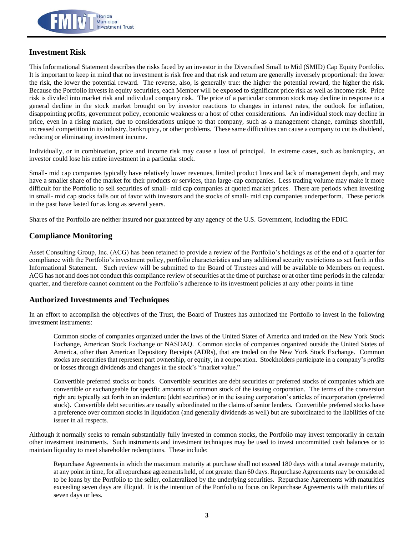

#### **Investment Risk**

This Informational Statement describes the risks faced by an investor in the Diversified Small to Mid (SMID) Cap Equity Portfolio. It is important to keep in mind that no investment is risk free and that risk and return are generally inversely proportional: the lower the risk, the lower the potential reward. The reverse, also, is generally true: the higher the potential reward, the higher the risk. Because the Portfolio invests in equity securities, each Member will be exposed to significant price risk as well as income risk. Price risk is divided into market risk and individual company risk. The price of a particular common stock may decline in response to a general decline in the stock market brought on by investor reactions to changes in interest rates, the outlook for inflation, disappointing profits, government policy, economic weakness or a host of other considerations. An individual stock may decline in price, even in a rising market, due to considerations unique to that company, such as a management change, earnings shortfall, increased competition in its industry, bankruptcy, or other problems. These same difficulties can cause a company to cut its dividend, reducing or eliminating investment income.

Individually, or in combination, price and income risk may cause a loss of principal. In extreme cases, such as bankruptcy, an investor could lose his entire investment in a particular stock.

Small- mid cap companies typically have relatively lower revenues, limited product lines and lack of management depth, and may have a smaller share of the market for their products or services, than large-cap companies. Less trading volume may make it more difficult for the Portfolio to sell securities of small- mid cap companies at quoted market prices. There are periods when investing in small- mid cap stocks falls out of favor with investors and the stocks of small- mid cap companies underperform. These periods in the past have lasted for as long as several years.

Shares of the Portfolio are neither insured nor guaranteed by any agency of the U.S. Government, including the FDIC.

#### **Compliance Monitoring**

Asset Consulting Group, Inc. (ACG) has been retained to provide a review of the Portfolio's holdings as of the end of a quarter for compliance with the Portfolio's investment policy, portfolio characteristics and any additional security restrictions as set forth in this Informational Statement. Such review will be submitted to the Board of Trustees and will be available to Members on request. ACG has not and does not conduct this compliance review of securities at the time of purchase or at other time periods in the calendar quarter, and therefore cannot comment on the Portfolio's adherence to its investment policies at any other points in time

#### **Authorized Investments and Techniques**

In an effort to accomplish the objectives of the Trust, the Board of Trustees has authorized the Portfolio to invest in the following investment instruments:

Common stocks of companies organized under the laws of the United States of America and traded on the New York Stock Exchange, American Stock Exchange or NASDAQ. Common stocks of companies organized outside the United States of America, other than American Depository Receipts (ADRs), that are traded on the New York Stock Exchange. Common stocks are securities that represent part ownership, or equity, in a corporation. Stockholders participate in a company's profits or losses through dividends and changes in the stock's "market value."

Convertible preferred stocks or bonds. Convertible securities are debt securities or preferred stocks of companies which are convertible or exchangeable for specific amounts of common stock of the issuing corporation. The terms of the conversion right are typically set forth in an indenture (debt securities) or in the issuing corporation's articles of incorporation (preferred stock). Convertible debt securities are usually subordinated to the claims of senior lenders. Convertible preferred stocks have a preference over common stocks in liquidation (and generally dividends as well) but are subordinated to the liabilities of the issuer in all respects.

Although it normally seeks to remain substantially fully invested in common stocks, the Portfolio may invest temporarily in certain other investment instruments. Such instruments and investment techniques may be used to invest uncommitted cash balances or to maintain liquidity to meet shareholder redemptions. These include:

Repurchase Agreements in which the maximum maturity at purchase shall not exceed 180 days with a total average maturity, at any point in time, for all repurchase agreements held, of not greater than 60 days. Repurchase Agreements may be considered to be loans by the Portfolio to the seller, collateralized by the underlying securities. Repurchase Agreements with maturities exceeding seven days are illiquid. It is the intention of the Portfolio to focus on Repurchase Agreements with maturities of seven days or less.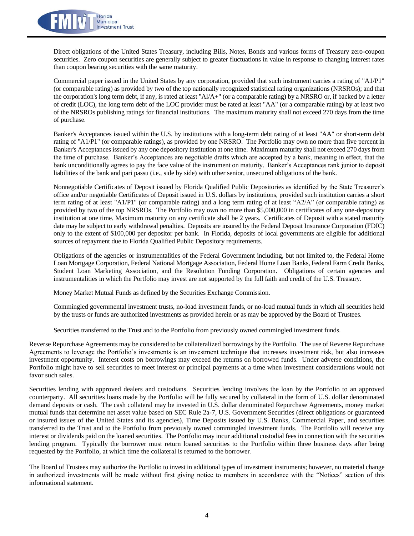

Direct obligations of the United States Treasury, including Bills, Notes, Bonds and various forms of Treasury zero-coupon securities. Zero coupon securities are generally subject to greater fluctuations in value in response to changing interest rates than coupon bearing securities with the same maturity.

Commercial paper issued in the United States by any corporation, provided that such instrument carries a rating of "A1/P1" (or comparable rating) as provided by two of the top nationally recognized statistical rating organizations (NRSROs); and that the corporation's long term debt, if any, is rated at least "Al/A+" (or a comparable rating) by a NRSRO or, if backed by a letter of credit (LOC), the long term debt of the LOC provider must be rated at least "AA" (or a comparable rating) by at least two of the NRSROs publishing ratings for financial institutions. The maximum maturity shall not exceed 270 days from the time of purchase.

Banker's Acceptances issued within the U.S. by institutions with a long-term debt rating of at least "AA" or short-term debt rating of "A1/P1" (or comparable ratings), as provided by one NRSRO. The Portfolio may own no more than five percent in Banker's Acceptances issued by any one depository institution at one time. Maximum maturity shall not exceed 270 days from the time of purchase. Banker's Acceptances are negotiable drafts which are accepted by a bank, meaning in effect, that the bank unconditionally agrees to pay the face value of the instrument on maturity. Banker's Acceptances rank junior to deposit liabilities of the bank and pari passu (i.e., side by side) with other senior, unsecured obligations of the bank.

Nonnegotiable Certificates of Deposit issued by Florida Qualified Public Depositories as identified by the State Treasurer's office and/or negotiable Certificates of Deposit issued in U.S. dollars by institutions, provided such institution carries a short term rating of at least "A1/P1" (or comparable rating) and a long term rating of at least "A2/A" (or comparable rating) as provided by two of the top NRSROs. The Portfolio may own no more than \$5,000,000 in certificates of any one-depository institution at one time. Maximum maturity on any certificate shall be 2 years. Certificates of Deposit with a stated maturity date may be subject to early withdrawal penalties. Deposits are insured by the Federal Deposit Insurance Corporation (FDIC) only to the extent of \$100,000 per depositor per bank. In Florida, deposits of local governments are eligible for additional sources of repayment due to Florida Qualified Public Depository requirements.

Obligations of the agencies or instrumentalities of the Federal Government including, but not limited to, the Federal Home Loan Mortgage Corporation, Federal National Mortgage Association, Federal Home Loan Banks, Federal Farm Credit Banks, Student Loan Marketing Association, and the Resolution Funding Corporation. Obligations of certain agencies and instrumentalities in which the Portfolio may invest are not supported by the full faith and credit of the U.S. Treasury.

Money Market Mutual Funds as defined by the Securities Exchange Commission.

Commingled governmental investment trusts, no-load investment funds, or no-load mutual funds in which all securities held by the trusts or funds are authorized investments as provided herein or as may be approved by the Board of Trustees.

Securities transferred to the Trust and to the Portfolio from previously owned commingled investment funds.

Reverse Repurchase Agreements may be considered to be collateralized borrowings by the Portfolio. The use of Reverse Repurchase Agreements to leverage the Portfolio's investments is an investment technique that increases investment risk, but also increases investment opportunity. Interest costs on borrowings may exceed the returns on borrowed funds. Under adverse conditions, the Portfolio might have to sell securities to meet interest or principal payments at a time when investment considerations would not favor such sales.

Securities lending with approved dealers and custodians. Securities lending involves the loan by the Portfolio to an approved counterparty. All securities loans made by the Portfolio will be fully secured by collateral in the form of U.S. dollar denominated demand deposits or cash. The cash collateral may be invested in U.S. dollar denominated Repurchase Agreements, money market mutual funds that determine net asset value based on SEC Rule 2a-7, U.S. Government Securities (direct obligations or guaranteed or insured issues of the United States and its agencies), Time Deposits issued by U.S. Banks, Commercial Paper, and securities transferred to the Trust and to the Portfolio from previously owned commingled investment funds. The Portfolio will receive any interest or dividends paid on the loaned securities. The Portfolio may incur additional custodial fees in connection with the securities lending program. Typically the borrower must return loaned securities to the Portfolio within three business days after being requested by the Portfolio, at which time the collateral is returned to the borrower.

The Board of Trustees may authorize the Portfolio to invest in additional types of investment instruments; however, no material change in authorized investments will be made without first giving notice to members in accordance with the "Notices" section of this informational statement.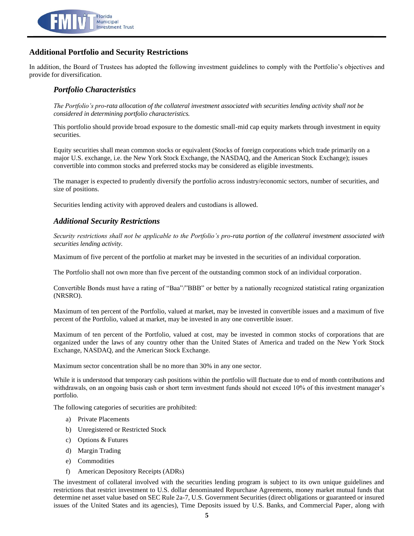

#### **Additional Portfolio and Security Restrictions**

In addition, the Board of Trustees has adopted the following investment guidelines to comply with the Portfolio's objectives and provide for diversification.

#### *Portfolio Characteristics*

*The Portfolio's pro-rata allocation of the collateral investment associated with securities lending activity shall not be considered in determining portfolio characteristics.*

This portfolio should provide broad exposure to the domestic small-mid cap equity markets through investment in equity securities.

Equity securities shall mean common stocks or equivalent (Stocks of foreign corporations which trade primarily on a major U.S. exchange, i.e. the New York Stock Exchange, the NASDAQ, and the American Stock Exchange); issues convertible into common stocks and preferred stocks may be considered as eligible investments.

The manager is expected to prudently diversify the portfolio across industry/economic sectors, number of securities, and size of positions.

Securities lending activity with approved dealers and custodians is allowed.

#### *Additional Security Restrictions*

*Security restrictions shall not be applicable to the Portfolio's pro-rata portion of the collateral investment associated with securities lending activity.*

Maximum of five percent of the portfolio at market may be invested in the securities of an individual corporation.

The Portfolio shall not own more than five percent of the outstanding common stock of an individual corporation.

Convertible Bonds must have a rating of "Baa"/"BBB" or better by a nationally recognized statistical rating organization (NRSRO).

Maximum of ten percent of the Portfolio, valued at market, may be invested in convertible issues and a maximum of five percent of the Portfolio, valued at market, may be invested in any one convertible issuer.

Maximum of ten percent of the Portfolio, valued at cost, may be invested in common stocks of corporations that are organized under the laws of any country other than the United States of America and traded on the New York Stock Exchange, NASDAQ, and the American Stock Exchange.

Maximum sector concentration shall be no more than 30% in any one sector.

While it is understood that temporary cash positions within the portfolio will fluctuate due to end of month contributions and withdrawals, on an ongoing basis cash or short term investment funds should not exceed 10% of this investment manager's portfolio.

The following categories of securities are prohibited:

- a) Private Placements
- b) Unregistered or Restricted Stock
- c) Options & Futures
- d) Margin Trading
- e) Commodities
- f) American Depository Receipts (ADRs)

The investment of collateral involved with the securities lending program is subject to its own unique guidelines and restrictions that restrict investment to U.S. dollar denominated Repurchase Agreements, money market mutual funds that determine net asset value based on SEC Rule 2a-7, U.S. Government Securities (direct obligations or guaranteed or insured issues of the United States and its agencies), Time Deposits issued by U.S. Banks, and Commercial Paper, along with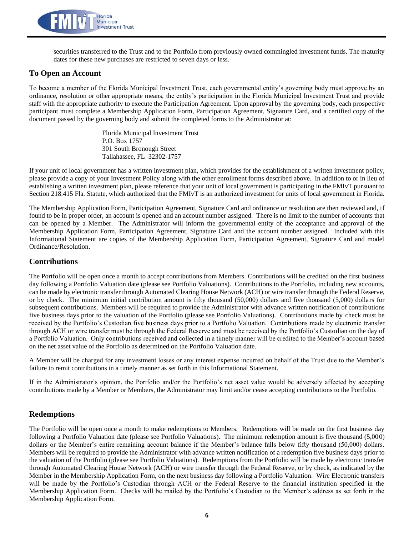

securities transferred to the Trust and to the Portfolio from previously owned commingled investment funds. The maturity dates for these new purchases are restricted to seven days or less.

#### **To Open an Account**

To become a member of the Florida Municipal Investment Trust, each governmental entity's governing body must approve by an ordinance, resolution or other appropriate means, the entity's participation in the Florida Municipal Investment Trust and provide staff with the appropriate authority to execute the Participation Agreement. Upon approval by the governing body, each prospective participant must complete a Membership Application Form, Participation Agreement, Signature Card, and a certified copy of the document passed by the governing body and submit the completed forms to the Administrator at:

> Florida Municipal Investment Trust P.O. Box 1757 301 South Bronough Street Tallahassee, FL 32302-1757

If your unit of local government has a written investment plan, which provides for the establishment of a written investment policy, please provide a copy of your Investment Policy along with the other enrollment forms described above. In addition to or in lieu of establishing a written investment plan, please reference that your unit of local government is participating in the FMIvT pursuant to Section 218.415 Fla. Statute, which authorized that the FMIvT is an authorized investment for units of local government in Florida.

The Membership Application Form, Participation Agreement, Signature Card and ordinance or resolution are then reviewed and, if found to be in proper order, an account is opened and an account number assigned. There is no limit to the number of accounts that can be opened by a Member. The Administrator will inform the governmental entity of the acceptance and approval of the Membership Application Form, Participation Agreement, Signature Card and the account number assigned. Included with this Informational Statement are copies of the Membership Application Form, Participation Agreement, Signature Card and model Ordinance/Resolution.

#### **Contributions**

The Portfolio will be open once a month to accept contributions from Members. Contributions will be credited on the first business day following a Portfolio Valuation date (please see Portfolio Valuations). Contributions to the Portfolio, including new accounts, can be made by electronic transfer through Automated Clearing House Network (ACH) or wire transfer through the Federal Reserve, or by check. The minimum initial contribution amount is fifty thousand (50,000) dollars and five thousand (5,000) dollars for subsequent contributions. Members will be required to provide the Administrator with advance written notification of contributions five business days prior to the valuation of the Portfolio (please see Portfolio Valuations). Contributions made by check must be received by the Portfolio's Custodian five business days prior to a Portfolio Valuation. Contributions made by electronic transfer through ACH or wire transfer must be through the Federal Reserve and must be received by the Portfolio's Custodian on the day of a Portfolio Valuation. Only contributions received and collected in a timely manner will be credited to the Member's account based on the net asset value of the Portfolio as determined on the Portfolio Valuation date.

A Member will be charged for any investment losses or any interest expense incurred on behalf of the Trust due to the Member's failure to remit contributions in a timely manner as set forth in this Informational Statement.

If in the Administrator's opinion, the Portfolio and/or the Portfolio's net asset value would be adversely affected by accepting contributions made by a Member or Members, the Administrator may limit and/or cease accepting contributions to the Portfolio.

#### **Redemptions**

The Portfolio will be open once a month to make redemptions to Members. Redemptions will be made on the first business day following a Portfolio Valuation date (please see Portfolio Valuations). The minimum redemption amount is five thousand (5,000) dollars or the Member's entire remaining account balance if the Member's balance falls below fifty thousand (50,000) dollars. Members will be required to provide the Administrator with advance written notification of a redemption five business days prior to the valuation of the Portfolio (please see Portfolio Valuations). Redemptions from the Portfolio will be made by electronic transfer through Automated Clearing House Network (ACH) or wire transfer through the Federal Reserve, or by check, as indicated by the Member in the Membership Application Form, on the next business day following a Portfolio Valuation. Wire Electronic transfers will be made by the Portfolio's Custodian through ACH or the Federal Reserve to the financial institution specified in the Membership Application Form. Checks will be mailed by the Portfolio's Custodian to the Member's address as set forth in the Membership Application Form.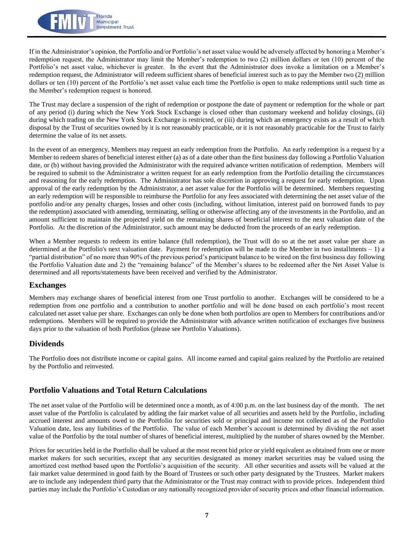

If in the Administrator's opinion, the Portfolio and/or Portfolio's net asset value would be adversely affected by honoring a Member's redemption request, the Administrator may limit the Member's redemption to two (2) million dollars or ten (10) percent of the Portfolio's net asset value, whichever is greater. In the event that the Administrator does invoke a limitation on a Member's redemption request, the Administrator will redeem sufficient shares of beneficial interest such as to pay the Member two (2) million dollars or ten (10) percent of the Portfolio's net asset value each time the Portfolio is open to make redemptions until such time as the Member's redemption request is honored.

The Trust may declare a suspension of the right of redemption or postpone the date of payment or redemption for the whole or part of any period (i) during which the New York Stock Exchange is closed other than customary weekend and holiday closings, (ii) during which trading on the New York Stock Exchange is restricted, or (iii) during which an emergency exists as a result of which disposal by the Trust of securities owned by it is not reasonably practicable, or it is not reasonably practicable for the Trust to fairly determine the value of its net assets.

In the event of an emergency, Members may request an early redemption from the Portfolio. An early redemption is a request by a Member to redeem shares of beneficial interest either (a) as of a date other than the first business day following a Portfolio Valuation date, or (b) without having provided the Administrator with the required advance written notification of redemption. Members will be required to submit to the Administrator a written request for an early redemption from the Portfolio detailing the circumstances and reasoning for the early redemption. The Administrator has sole discretion in approving a request for early redemption. Upon approval of the early redemption by the Administrator, a net asset value for the Portfolio will be determined. Members requesting an early redemption will be responsible to reimburse the Portfolio for any fees associated with determining the net asset value of the portfolio and/or any penalty charges, losses and other costs (including, without limitation, interest paid on borrowed funds to pay the redemption) associated with amending, terminating, selling or otherwise affecting any of the investments in the Portfolio, and an amount sufficient to maintain the projected yield on the remaining shares of beneficial interest to the next valuation date of the Portfolio. At the discretion of the Administrator, such amount may be deducted from the proceeds of an early redemption.

When a Member requests to redeem its entire balance (full redemption), the Trust will do so at the net asset value per share as determined at the Portfolio's next valuation date. Payment for redemption will be made to the Member in two installments – 1) a "partial distribution" of no more than 90% of the previous period's participant balance to be wired on the first business day following the Portfolio Valuation date and 2) the "remaining balance" of the Member's shares to be redeemed after the Net Asset Value is determined and all reports/statements have been received and verified by the Administrator.

#### **Exchanges**

Members may exchange shares of beneficial interest from one Trust portfolio to another. Exchanges will be considered to be a redemption from one portfolio and a contribution to another portfolio and will be done based on each portfolio's most recent calculated net asset value per share. Exchanges can only be done when both portfolios are open to Members for contributions and/or redemptions. Members will be required to provide the Administrator with advance written notification of exchanges five business days prior to the valuation of both Portfolios (please see Portfolio Valuations).

#### **Dividends**

The Portfolio does not distribute income or capital gains. All income earned and capital gains realized by the Portfolio are retained by the Portfolio and reinvested.

#### **Portfolio Valuations and Total Return Calculations**

The net asset value of the Portfolio will be determined once a month, as of 4:00 p.m. on the last business day of the month. The net asset value of the Portfolio is calculated by adding the fair market value of all securities and assets held by the Portfolio, including accrued interest and amounts owed to the Portfolio for securities sold or principal and income not collected as of the Portfolio Valuation date, less any liabilities of the Portfolio. The value of each Member's account is determined by dividing the net asset value of the Portfolio by the total number of shares of beneficial interest, multiplied by the number of shares owned by the Member.

Prices for securities held in the Portfolio shall be valued at the most recent bid price or yield equivalent as obtained from one or more market makers for such securities, except that any securities designated as money market securities may be valued using the amortized cost method based upon the Portfolio's acquisition of the security. All other securities and assets will be valued at the fair market value determined in good faith by the Board of Trustees or such other party designated by the Trustees. Market makers are to include any independent third party that the Administrator or the Trust may contract with to provide prices. Independent third parties may include the Portfolio's Custodian or any nationally recognized provider of security prices and other financial information.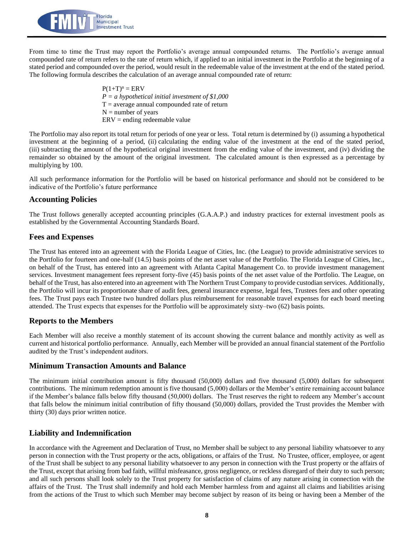

From time to time the Trust may report the Portfolio's average annual compounded returns. The Portfolio's average annual compounded rate of return refers to the rate of return which, if applied to an initial investment in the Portfolio at the beginning of a stated period and compounded over the period, would result in the redeemable value of the investment at the end of the stated period. The following formula describes the calculation of an average annual compounded rate of return:

> $P(1+T)^n = ERV$ *P = a hypothetical initial investment of \$1,000*  $T =$  average annual compounded rate of return  $N =$  number of years  $ERV =$  ending redeemable value

The Portfolio may also report its total return for periods of one year or less. Total return is determined by (i) assuming a hypothetical investment at the beginning of a period, (ii) calculating the ending value of the investment at the end of the stated period, (iii) subtracting the amount of the hypothetical original investment from the ending value of the investment, and (iv) dividing the remainder so obtained by the amount of the original investment. The calculated amount is then expressed as a percentage by multiplying by 100.

All such performance information for the Portfolio will be based on historical performance and should not be considered to be indicative of the Portfolio's future performance

#### **Accounting Policies**

The Trust follows generally accepted accounting principles (G.A.A.P.) and industry practices for external investment pools as established by the Governmental Accounting Standards Board.

#### **Fees and Expenses**

The Trust has entered into an agreement with the Florida League of Cities, Inc. (the League) to provide administrative services to the Portfolio for fourteen and one-half (14.5) basis points of the net asset value of the Portfolio. The Florida League of Cities, Inc., on behalf of the Trust, has entered into an agreement with Atlanta Capital Management Co. to provide investment management services. Investment management fees represent forty-five (45) basis points of the net asset value of the Portfolio. The League, on behalf of the Trust, has also entered into an agreement with The Northern Trust Company to provide custodian services. Additionally, the Portfolio will incur its proportionate share of audit fees, general insurance expense, legal fees, Trustees fees and other operating fees. The Trust pays each Trustee two hundred dollars plus reimbursement for reasonable travel expenses for each board meeting attended. The Trust expects that expenses for the Portfolio will be approximately sixty–two (62) basis points.

#### **Reports to the Members**

Each Member will also receive a monthly statement of its account showing the current balance and monthly activity as well as current and historical portfolio performance. Annually, each Member will be provided an annual financial statement of the Portfolio audited by the Trust's independent auditors.

#### **Minimum Transaction Amounts and Balance**

The minimum initial contribution amount is fifty thousand (50,000) dollars and five thousand (5,000) dollars for subsequent contributions. The minimum redemption amount is five thousand (5,000) dollars or the Member's entire remaining account balance if the Member's balance falls below fifty thousand (50,000) dollars. The Trust reserves the right to redeem any Member's account that falls below the minimum initial contribution of fifty thousand (50,000) dollars, provided the Trust provides the Member with thirty (30) days prior written notice.

#### **Liability and Indemnification**

In accordance with the Agreement and Declaration of Trust, no Member shall be subject to any personal liability whatsoever to any person in connection with the Trust property or the acts, obligations, or affairs of the Trust. No Trustee, officer, employee, or agent of the Trust shall be subject to any personal liability whatsoever to any person in connection with the Trust property or the affairs of the Trust, except that arising from bad faith, willful misfeasance, gross negligence, or reckless disregard of their duty to such person; and all such persons shall look solely to the Trust property for satisfaction of claims of any nature arising in connection with the affairs of the Trust. The Trust shall indemnify and hold each Member harmless from and against all claims and liabilities arising from the actions of the Trust to which such Member may become subject by reason of its being or having been a Member of the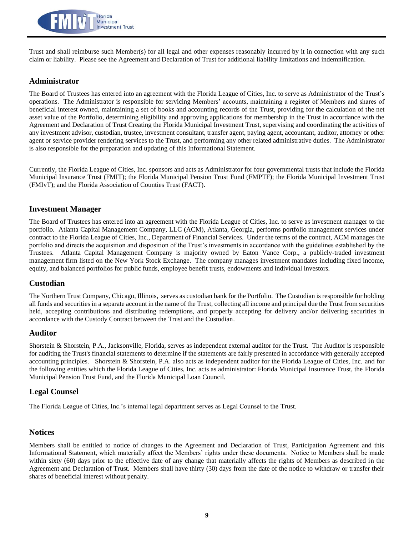

Trust and shall reimburse such Member(s) for all legal and other expenses reasonably incurred by it in connection with any such claim or liability. Please see the Agreement and Declaration of Trust for additional liability limitations and indemnification.

#### **Administrator**

The Board of Trustees has entered into an agreement with the Florida League of Cities, Inc. to serve as Administrator of the Trust's operations. The Administrator is responsible for servicing Members' accounts, maintaining a register of Members and shares of beneficial interest owned, maintaining a set of books and accounting records of the Trust, providing for the calculation of the net asset value of the Portfolio, determining eligibility and approving applications for membership in the Trust in accordance with the Agreement and Declaration of Trust Creating the Florida Municipal Investment Trust, supervising and coordinating the activities of any investment advisor, custodian, trustee, investment consultant, transfer agent, paying agent, accountant, auditor, attorney or other agent or service provider rendering services to the Trust, and performing any other related administrative duties. The Administrator is also responsible for the preparation and updating of this Informational Statement.

Currently, the Florida League of Cities, Inc. sponsors and acts as Administrator for four governmental trusts that include the Florida Municipal Insurance Trust (FMIT); the Florida Municipal Pension Trust Fund (FMPTF); the Florida Municipal Investment Trust (FMIvT); and the Florida Association of Counties Trust (FACT).

#### **Investment Manager**

The Board of Trustees has entered into an agreement with the Florida League of Cities, Inc. to serve as investment manager to the portfolio. Atlanta Capital Management Company, LLC (ACM), Atlanta, Georgia, performs portfolio management services under contract to the Florida League of Cities, Inc., Department of Financial Services. Under the terms of the contract, ACM manages the portfolio and directs the acquisition and disposition of the Trust's investments in accordance with the guidelines established by the Trustees. Atlanta Capital Management Company is majority owned by Eaton Vance Corp., a publicly-traded investment management firm listed on the New York Stock Exchange. The company manages investment mandates including fixed income, equity, and balanced portfolios for public funds, employee benefit trusts, endowments and individual investors.

#### **Custodian**

The Northern Trust Company, Chicago, Illinois, serves as custodian bank for the Portfolio. The Custodian is responsible for holding all funds and securities in a separate account in the name of the Trust, collecting all income and principal due the Trust from securities held, accepting contributions and distributing redemptions, and properly accepting for delivery and/or delivering securities in accordance with the Custody Contract between the Trust and the Custodian.

#### **Auditor**

Shorstein & Shorstein, P.A., Jacksonville, Florida, serves as independent external auditor for the Trust. The Auditor is responsible for auditing the Trust's financial statements to determine if the statements are fairly presented in accordance with generally accepted accounting principles. Shorstein & Shorstein, P.A. also acts as independent auditor for the Florida League of Cities, Inc. and for the following entities which the Florida League of Cities, Inc. acts as administrator: Florida Municipal Insurance Trust, the Florida Municipal Pension Trust Fund, and the Florida Municipal Loan Council.

#### **Legal Counsel**

The Florida League of Cities, Inc.'s internal legal department serves as Legal Counsel to the Trust.

#### **Notices**

Members shall be entitled to notice of changes to the Agreement and Declaration of Trust, Participation Agreement and this Informational Statement, which materially affect the Members' rights under these documents. Notice to Members shall be made within sixty (60) days prior to the effective date of any change that materially affects the rights of Members as described in the Agreement and Declaration of Trust. Members shall have thirty (30) days from the date of the notice to withdraw or transfer their shares of beneficial interest without penalty.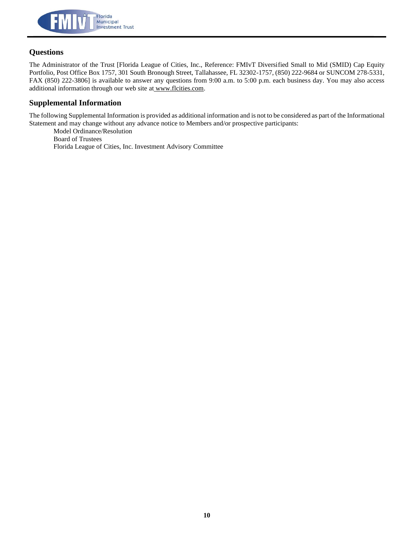

#### **Questions**

The Administrator of the Trust [Florida League of Cities, Inc., Reference: FMIvT Diversified Small to Mid (SMID) Cap Equity Portfolio, Post Office Box 1757, 301 South Bronough Street, Tallahassee, FL 32302-1757, (850) 222-9684 or SUNCOM 278-5331, FAX (850) 222-3806] is available to answer any questions from 9:00 a.m. to 5:00 p.m. each business day. You may also access additional information through our web site at www.flcities.com.

#### **Supplemental Information**

The following Supplemental Information is provided as additional information and is not to be considered as part of the Informational Statement and may change without any advance notice to Members and/or prospective participants:

Model Ordinance/Resolution Board of Trustees Florida League of Cities, Inc. Investment Advisory Committee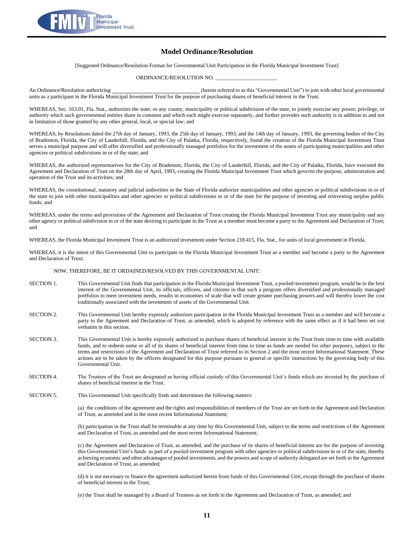

#### **Model Ordinance/Resolution**

[Suggested Ordinance/Resolution Format for Governmental Unit Participation in the Florida Municipal Investment Trust]

ORDINANCE/RESOLUTION NO.

An Ordinance/Resolution authorizing extension to the state of the contract of the state of the state of the contract of the contract of the contract of the contract of the contract of the contract of the contract of the co units as a participant in the Florida Municipal Investment Trust for the purpose of purchasing shares of beneficial interest in the Trust.

WHEREAS, Sec. 163.01, Fla. Stat., authorizes the state, or any county, municipality or political subdivision of the state, to jointly exercise any power, privilege, or authority which such governmental entities share in common and which each might exercise separately, and further provides such authority is in addition to and not in limitation of those granted by any other general, local, or special law; and

WHEREAS, by Resolutions dated the 27th day of January, 1993, the 25th day of January, 1993, and the 14th day of January, 1993, the governing bodies of the City of Bradenton, Florida, the City of Lauderhill, Florida, and the City of Palatka, Florida, respectively, found the creation of the Florida Municipal Investment Trust serves a municipal purpose and will offer diversified and professionally managed portfolios for the investment of the assets of participating municipalities and other agencies or political subdivisions in or of the state; and

WHEREAS, the authorized representatives for the City of Bradenton, Florida, the City of Lauderhill, Florida, and the City of Palatka, Florida, have executed the Agreement and Declaration of Trust on the 28th day of April, 1993, creating the Florida Municipal Investment Trust which governs the purpose, administration and operation of the Trust and its activities; and

WHEREAS, the constitutional, statutory and judicial authorities in the State of Florida authorize municipalities and other agencies or political subdivisions in or of the state to join with other municipalities and other agencies or political subdivisions in or of the state for the purpose of investing and reinvesting surplus public funds; and

WHEREAS, under the terms and provisions of the Agreement and Declaration of Trust creating the Florida Municipal Investment Trust any municipality and any other agency or political subdivision in or of the state desiring to participate in the Trust as a member must become a party to the Agreement and Declaration of Trust; and

WHEREAS, the Florida Municipal Investment Trust is an authorized investment under Section 218.415, Fla. Stat., for units of local government in Florida.

WHEREAS, it is the intent of this Governmental Unit to participate in the Florida Municipal Investment Trust as a member and become a party to the Agreement and Declaration of Trust;

#### NOW, THEREFORE, BE IT ORDAINED/RESOLVED BY THIS GOVERNMENTAL UNIT:

- SECTION 1. This Governmental Unit finds that participation in the Florida Municipal Investment Trust, a pooled-investment program, would be in the best interest of the Governmental Unit, its officials, officers, and citizens in that such a program offers diversified and professionally managed portfolios to meet investment needs, results in economies of scale that will create greater purchasing powers and will thereby lower the cost traditionally associated with the investment of assets of the Governmental Unit.
- SECTION 2. This Governmental Unit hereby expressly authorizes participation in the Florida Municipal Investment Trust as a member and will become a party to the Agreement and Declaration of Trust, as amended, which is adopted by reference with the same effect as if it had been set out verbatim in this section.
- SECTION 3. This Governmental Unit is hereby expressly authorized to purchase shares of beneficial interest in the Trust from time to time with available funds, and to redeem some or all of its shares of beneficial interest from time to time as funds are needed for other purposes, subject to the terms and restrictions of the Agreement and Declaration of Trust referred to in Section 2 and the most recent Informational Statement. These actions are to be taken by the officers designated for this purpose pursuant to general or specific instructions by the governing body of this Governmental Unit.
- SECTION 4. The Trustees of the Trust are designated as having official custody of this Governmental Unit's funds which are invested by the purchase of shares of beneficial interest in the Trust.
- SECTION 5. This Governmental Unit specifically finds and determines the following matters:

(a) the conditions of the agreement and the rights and responsibilities of members of the Trust are set forth in the Agreement and Declaration of Trust, as amended and in the most recent Informational Statement;

(b) participation in the Trust shall be terminable at any time by this Governmental Unit, subject to the terms and restrictions of the Agreement and Declaration of Trust, as amended and the most recent Informational Statement;

(c) the Agreement and Declaration of Trust, as amended, and the purchase of its shares of beneficial interest are for the purpose of investing this Governmental Unit's funds as part of a pooled-investment program with other agencies or political subdivisions in or of the state, thereby achieving economic and other advantages of pooled investments, and the powers and scope of authority delegated are set forth in the Agreement and Declaration of Trust, as amended;

(d) it is not necessary to finance the agreement authorized herein from funds of this Governmental Unit, except through the purchase of shares of beneficial interest in the Trust;

(e) the Trust shall be managed by a Board of Trustees as set forth in the Agreement and Declaration of Trust, as amended; and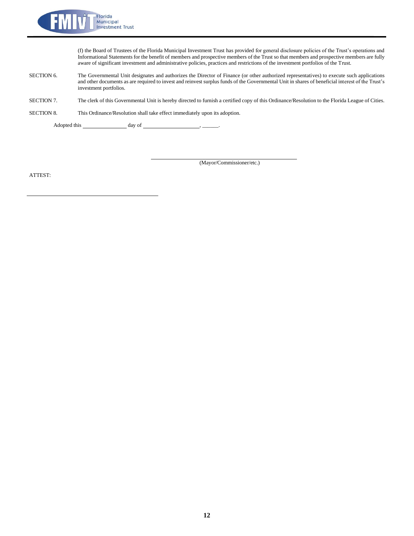

(f) the Board of Trustees of the Florida Municipal Investment Trust has provided for general disclosure policies of the Trust's operations and Informational Statements for the benefit of members and prospective members of the Trust so that members and prospective members are fully aware of significant investment and administrative policies, practices and restrictions of the investment portfolios of the Trust.

- SECTION 6. The Governmental Unit designates and authorizes the Director of Finance (or other authorized representatives) to execute such applications and other documents as are required to invest and reinvest surplus funds of the Governmental Unit in shares of beneficial interest of the Trust's investment portfolios.
- SECTION 7. The clerk of this Governmental Unit is hereby directed to furnish a certified copy of this Ordinance/Resolution to the Florida League of Cities.

SECTION 8. This Ordinance/Resolution shall take effect immediately upon its adoption.

Adopted this \_\_\_\_\_\_\_\_\_\_\_\_\_\_\_\_\_\_\_\_\_ day of \_

(Mayor/Commissioner/etc.)

ATTEST: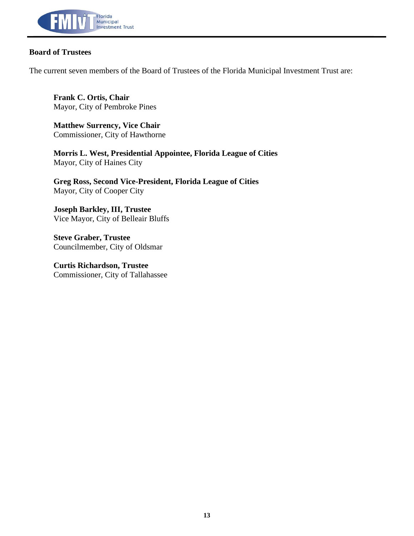

#### **Board of Trustees**

The current seven members of the Board of Trustees of the Florida Municipal Investment Trust are:

**Frank C. Ortis, Chair** Mayor, City of Pembroke Pines

**Matthew Surrency, Vice Chair** Commissioner, City of Hawthorne

**Morris L. West, Presidential Appointee, Florida League of Cities** Mayor, City of Haines City

**Greg Ross, Second Vice-President, Florida League of Cities** Mayor, City of Cooper City

**Joseph Barkley, III, Trustee** Vice Mayor, City of Belleair Bluffs

**Steve Graber, Trustee** Councilmember, City of Oldsmar

**Curtis Richardson, Trustee** Commissioner, City of Tallahassee